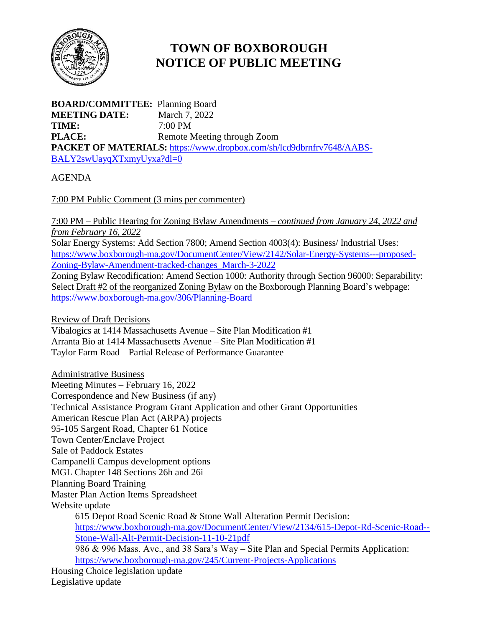

## **TOWN OF BOXBOROUGH NOTICE OF PUBLIC MEETING**

**BOARD/COMMITTEE:** Planning Board **MEETING DATE:** March 7, 2022 **TIME:** 7:00 PM **PLACE:** Remote Meeting through Zoom **PACKET OF MATERIALS:** [https://www.dropbox.com/sh/lcd9dbrnfrv7648/AABS-](https://www.dropbox.com/sh/lcd9dbrnfrv7648/AABS-BALY2swUayqXTxmyUyxa?dl=0)[BALY2swUayqXTxmyUyxa?dl=0](https://www.dropbox.com/sh/lcd9dbrnfrv7648/AABS-BALY2swUayqXTxmyUyxa?dl=0)

## AGENDA

7:00 PM Public Comment (3 mins per commenter)

7:00 PM – Public Hearing for Zoning Bylaw Amendments – *continued from January 24, 2022 and from February 16, 2022*

Solar Energy Systems: Add Section 7800; Amend Section 4003(4): Business/ Industrial Uses: [https://www.boxborough-ma.gov/DocumentCenter/View/2142/Solar-Energy-Systems---proposed-](https://www.boxborough-ma.gov/DocumentCenter/View/2142/Solar-Energy-Systems---proposed-Zoning-Bylaw-Amendment-tracked-changes_March-3-2022)[Zoning-Bylaw-Amendment-tracked-changes\\_March-3-2022](https://www.boxborough-ma.gov/DocumentCenter/View/2142/Solar-Energy-Systems---proposed-Zoning-Bylaw-Amendment-tracked-changes_March-3-2022)

Zoning Bylaw Recodification: Amend Section 1000: Authority through Section 96000: Separability: Select Draft #2 of the reorganized Zoning Bylaw on the Boxborough Planning Board's webpage: <https://www.boxborough-ma.gov/306/Planning-Board>

Review of Draft Decisions

Vibalogics at 1414 Massachusetts Avenue – Site Plan Modification #1 Arranta Bio at 1414 Massachusetts Avenue – Site Plan Modification #1 Taylor Farm Road – Partial Release of Performance Guarantee

Administrative Business Meeting Minutes – February 16, 2022 Correspondence and New Business (if any) Technical Assistance Program Grant Application and other Grant Opportunities American Rescue Plan Act (ARPA) projects 95-105 Sargent Road, Chapter 61 Notice Town Center/Enclave Project Sale of Paddock Estates Campanelli Campus development options MGL Chapter 148 Sections 26h and 26i Planning Board Training Master Plan Action Items Spreadsheet Website update 615 Depot Road Scenic Road & Stone Wall Alteration Permit Decision: [https://www.boxborough-ma.gov/DocumentCenter/View/2134/615-Depot-Rd-Scenic-Road--](https://www.boxborough-ma.gov/DocumentCenter/View/2134/615-Depot-Rd-Scenic-Road--Stone-Wall-Alt-Permit-Decision-11-10-21pdf) [Stone-Wall-Alt-Permit-Decision-11-10-21pdf](https://www.boxborough-ma.gov/DocumentCenter/View/2134/615-Depot-Rd-Scenic-Road--Stone-Wall-Alt-Permit-Decision-11-10-21pdf) 986 & 996 Mass. Ave., and 38 Sara's Way – Site Plan and Special Permits Application: <https://www.boxborough-ma.gov/245/Current-Projects-Applications> Housing Choice legislation update Legislative update